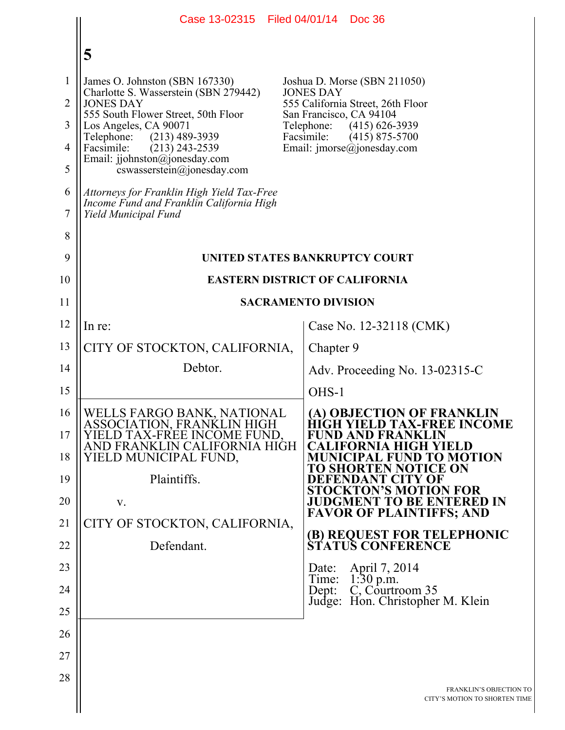|                                                                      | Case 13-02315                                                                                                                                                                                                                                                                                                                                                                                                               | Filed 04/01/14 Doc 36                                                                                                                                                                                                                                                                                                                                                                                                                                |
|----------------------------------------------------------------------|-----------------------------------------------------------------------------------------------------------------------------------------------------------------------------------------------------------------------------------------------------------------------------------------------------------------------------------------------------------------------------------------------------------------------------|------------------------------------------------------------------------------------------------------------------------------------------------------------------------------------------------------------------------------------------------------------------------------------------------------------------------------------------------------------------------------------------------------------------------------------------------------|
|                                                                      | 5                                                                                                                                                                                                                                                                                                                                                                                                                           |                                                                                                                                                                                                                                                                                                                                                                                                                                                      |
| $\mathbf{1}$<br>$\overline{2}$<br>3<br>4<br>5<br>6<br>7<br>8         | James O. Johnston (SBN 167330)<br>Charlotte S. Wasserstein (SBN 279442)<br><b>JONES DAY</b><br>555 South Flower Street, 50th Floor<br>Los Angeles, CA 90071<br>Telephone:<br>$(213)$ 489-3939<br>Facsimile:<br>$(213)$ 243-2539<br>Email: jjohnston@jonesday.com<br>$coswasserstein(\theta)$ ionesday.com<br>Attorneys for Franklin High Yield Tax-Free<br>Income Fund and Franklin California High<br>Yield Municipal Fund | Joshua D. Morse (SBN 211050)<br><b>JONES DAY</b><br>555 California Street, 26th Floor<br>San Francisco, CA 94104<br>Telephone:<br>$(415) 626 - 3939$<br>Facsimile:<br>$(415)$ 875-5700<br>Email: $\text{imorse}(\omega)$ jonesday.com                                                                                                                                                                                                                |
| 9                                                                    | UNITED STATES BANKRUPTCY COURT<br><b>EASTERN DISTRICT OF CALIFORNIA</b>                                                                                                                                                                                                                                                                                                                                                     |                                                                                                                                                                                                                                                                                                                                                                                                                                                      |
| 10<br>11                                                             | <b>SACRAMENTO DIVISION</b>                                                                                                                                                                                                                                                                                                                                                                                                  |                                                                                                                                                                                                                                                                                                                                                                                                                                                      |
| 12                                                                   | In re:                                                                                                                                                                                                                                                                                                                                                                                                                      | Case No. 12-32118 (CMK)                                                                                                                                                                                                                                                                                                                                                                                                                              |
| 13                                                                   | CITY OF STOCKTON, CALIFORNIA,                                                                                                                                                                                                                                                                                                                                                                                               | Chapter 9                                                                                                                                                                                                                                                                                                                                                                                                                                            |
| 14                                                                   | Debtor.                                                                                                                                                                                                                                                                                                                                                                                                                     | Adv. Proceeding No. 13-02315-C                                                                                                                                                                                                                                                                                                                                                                                                                       |
| 15                                                                   |                                                                                                                                                                                                                                                                                                                                                                                                                             | OHS-1                                                                                                                                                                                                                                                                                                                                                                                                                                                |
| 16<br>17<br>18<br>19<br>20<br>21<br>22<br>23<br>24<br>25<br>26<br>27 | WELLS FARGO BANK, NATIONAL<br>ASSOCIATION, FRANKLIN HIGH<br>YIELD TAX-FREE INCOME FUND,<br>AND FRANKLIN CALIFORNIA HIGH<br>YIELD MUNICIPAL FUND,<br>Plaintiffs.<br>V.<br>CITY OF STOCKTON, CALIFORNIA,<br>Defendant.                                                                                                                                                                                                        | (A) OBJECTION OF FRANKLIN<br>HIGH YIELD TAX-FREE INCOME<br>FUND AND FRANKLIN<br>CALIFORNIA HIGH YIELD<br>MUNICIPAL FUND TO MOTION<br>TO SHORTEN NOTICE ON<br>DEFENDANT CITY OF<br>STOCKTON'S MOTION FOR<br><b>JUDGMENT TO BE ENTERED IN</b><br><b>FAVOR OF PLAINTIFFS; AND</b><br>(B) REQUEST FOR TELEPHONIC<br>STATUS CONFERENCE<br>April 7, 2014<br>Date:<br>1:30 p.m.<br>Time:<br>C, Courtroom 35<br>Dept:<br>Hon. Christopher M. Klein<br>Judge: |
| 28                                                                   |                                                                                                                                                                                                                                                                                                                                                                                                                             | <b>FRANKLIN'S OBJECTION TO</b><br>CITY'S MOTION TO SHORTEN TIME                                                                                                                                                                                                                                                                                                                                                                                      |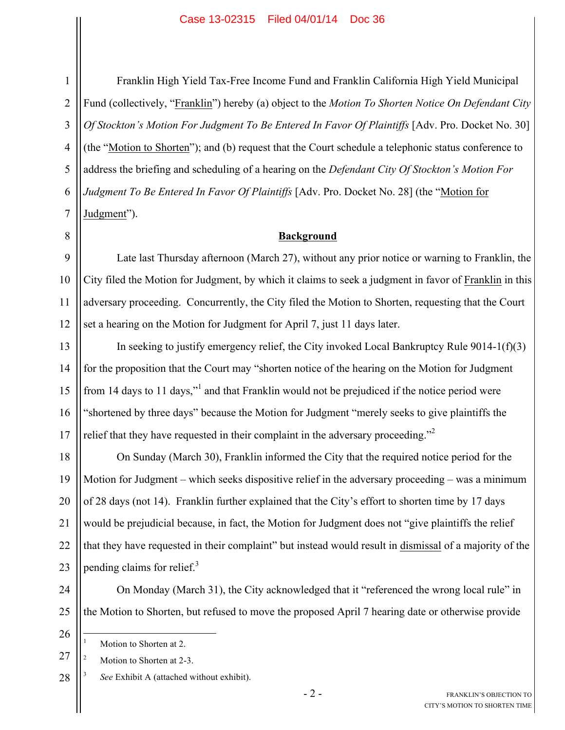Franklin High Yield Tax-Free Income Fund and Franklin California High Yield Municipal Fund (collectively, "Franklin") hereby (a) object to the *Motion To Shorten Notice On Defendant City Of Stockton's Motion For Judgment To Be Entered In Favor Of Plaintiffs* [Adv. Pro. Docket No. 30] (the "Motion to Shorten"); and (b) request that the Court schedule a telephonic status conference to address the briefing and scheduling of a hearing on the *Defendant City Of Stockton's Motion For Judgment To Be Entered In Favor Of Plaintiffs* [Adv. Pro. Docket No. 28] (the "Motion for Judgment").

## **Background**

9 11 12 Late last Thursday afternoon (March 27), without any prior notice or warning to Franklin, the City filed the Motion for Judgment, by which it claims to seek a judgment in favor of Franklin in this adversary proceeding. Concurrently, the City filed the Motion to Shorten, requesting that the Court set a hearing on the Motion for Judgment for April 7, just 11 days later.

13 14 15 16 17 In seeking to justify emergency relief, the City invoked Local Bankruptcy Rule  $9014-1(f)(3)$ for the proposition that the Court may "shorten notice of the hearing on the Motion for Judgment from 14 days to 11 days," and that Franklin would not be prejudiced if the notice period were "shortened by three days" because the Motion for Judgment "merely seeks to give plaintiffs the relief that they have requested in their complaint in the adversary proceeding."<sup>2</sup>

18 19 20 21 22 23 On Sunday (March 30), Franklin informed the City that the required notice period for the Motion for Judgment – which seeks dispositive relief in the adversary proceeding – was a minimum of 28 days (not 14). Franklin further explained that the City's effort to shorten time by 17 days would be prejudicial because, in fact, the Motion for Judgment does not "give plaintiffs the relief that they have requested in their complaint" but instead would result in dismissal of a majority of the pending claims for relief.<sup>3</sup>

24 25

On Monday (March 31), the City acknowledged that it "referenced the wrong local rule" in the Motion to Shorten, but refused to move the proposed April 7 hearing date or otherwise provide

26

27 Motion to Shorten at 2-3.

28 <sup>3</sup> *See* Exhibit A (attached without exhibit).

Motion to Shorten at 2.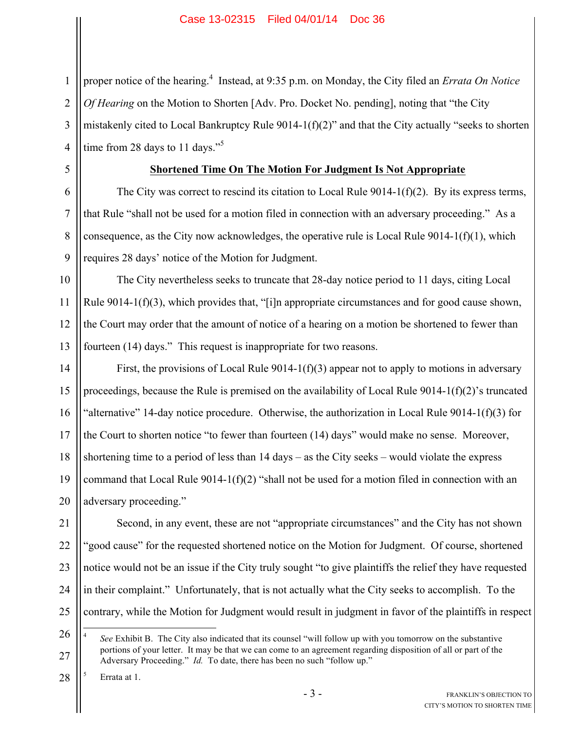2 3 4 proper notice of the hearing.<sup>4</sup> Instead, at 9:35 p.m. on Monday, the City filed an *Errata On Notice Of Hearing* on the Motion to Shorten [Adv. Pro. Docket No. pending], noting that "the City mistakenly cited to Local Bankruptcy Rule 9014-1(f)(2)" and that the City actually "seeks to shorten time from 28 days to 11 days."<sup>5</sup>

5

6

7

8

 $\mathbf Q$ 

1

## **Shortened Time On The Motion For Judgment Is Not Appropriate**

The City was correct to rescind its citation to Local Rule 9014-1(f)(2). By its express terms, that Rule "shall not be used for a motion filed in connection with an adversary proceeding." As a consequence, as the City now acknowledges, the operative rule is Local Rule  $9014-1(f)(1)$ , which requires 28 days' notice of the Motion for Judgment.

10 11 12 13 The City nevertheless seeks to truncate that 28-day notice period to 11 days, citing Local Rule  $9014-1(f)(3)$ , which provides that, "[i]n appropriate circumstances and for good cause shown, the Court may order that the amount of notice of a hearing on a motion be shortened to fewer than fourteen (14) days." This request is inappropriate for two reasons.

14 15 16 17 18 19 20 First, the provisions of Local Rule 9014-1(f)(3) appear not to apply to motions in adversary proceedings, because the Rule is premised on the availability of Local Rule 9014-1(f)(2)'s truncated "alternative" 14-day notice procedure. Otherwise, the authorization in Local Rule 9014-1(f)(3) for the Court to shorten notice "to fewer than fourteen (14) days" would make no sense. Moreover, shortening time to a period of less than 14 days – as the City seeks – would violate the express command that Local Rule  $9014-1(f)(2)$  "shall not be used for a motion filed in connection with an adversary proceeding."

21 22 23 24 25 Second, in any event, these are not "appropriate circumstances" and the City has not shown "good cause" for the requested shortened notice on the Motion for Judgment. Of course, shortened notice would not be an issue if the City truly sought "to give plaintiffs the relief they have requested in their complaint." Unfortunately, that is not actually what the City seeks to accomplish. To the contrary, while the Motion for Judgment would result in judgment in favor of the plaintiffs in respect

28 Errata at 1.

<sup>26</sup> 27 4 *See* Exhibit B. The City also indicated that its counsel "will follow up with you tomorrow on the substantive portions of your letter. It may be that we can come to an agreement regarding disposition of all or part of the Adversary Proceeding." *Id.* To date, there has been no such "follow up."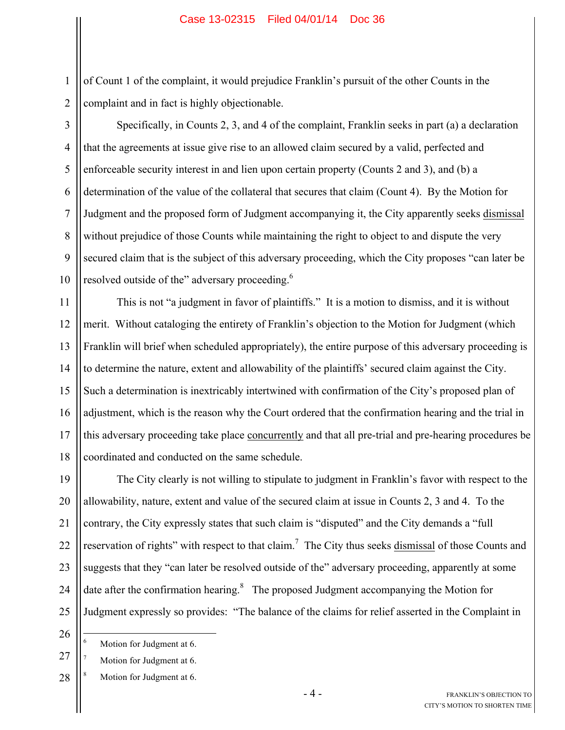of Count 1 of the complaint, it would prejudice Franklin's pursuit of the other Counts in the complaint and in fact is highly objectionable.

3

4

5

6

7

8

9

10

1

2

Specifically, in Counts 2, 3, and 4 of the complaint, Franklin seeks in part (a) a declaration that the agreements at issue give rise to an allowed claim secured by a valid, perfected and enforceable security interest in and lien upon certain property (Counts 2 and 3), and (b) a determination of the value of the collateral that secures that claim (Count 4). By the Motion for Judgment and the proposed form of Judgment accompanying it, the City apparently seeks dismissal without prejudice of those Counts while maintaining the right to object to and dispute the very secured claim that is the subject of this adversary proceeding, which the City proposes "can later be resolved outside of the" adversary proceeding.<sup>6</sup>

11 12 13 14 15 16 17 18 This is not "a judgment in favor of plaintiffs." It is a motion to dismiss, and it is without merit. Without cataloging the entirety of Franklin's objection to the Motion for Judgment (which Franklin will brief when scheduled appropriately), the entire purpose of this adversary proceeding is to determine the nature, extent and allowability of the plaintiffs' secured claim against the City. Such a determination is inextricably intertwined with confirmation of the City's proposed plan of adjustment, which is the reason why the Court ordered that the confirmation hearing and the trial in this adversary proceeding take place concurrently and that all pre-trial and pre-hearing procedures be coordinated and conducted on the same schedule.

19 20 21 22 23 24 25 The City clearly is not willing to stipulate to judgment in Franklin's favor with respect to the allowability, nature, extent and value of the secured claim at issue in Counts 2, 3 and 4. To the contrary, the City expressly states that such claim is "disputed" and the City demands a "full reservation of rights" with respect to that claim.<sup>7</sup> The City thus seeks dismissal of those Counts and suggests that they "can later be resolved outside of the" adversary proceeding, apparently at some date after the confirmation hearing. $8$  The proposed Judgment accompanying the Motion for Judgment expressly so provides: "The balance of the claims for relief asserted in the Complaint in

26

<sup>&</sup>lt;sup>6</sup> Motion for Judgment at 6.

<sup>27</sup> Motion for Judgment at 6.

<sup>28</sup> Motion for Judgment at 6.